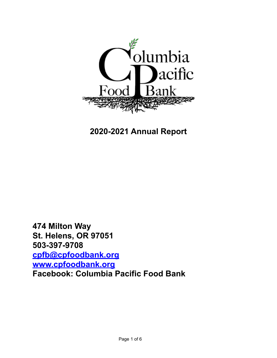

# **2020-2021 Annual Report**

**474 Milton Way St. Helens, OR 97051 503-397-9708 [cpfb@cpfoodbank.org](mailto:cpfb@cpfoodbank.org) [www.cpfoodbank.org](http://www.cpfoodbank.org) Facebook: Columbia Pacific Food Bank**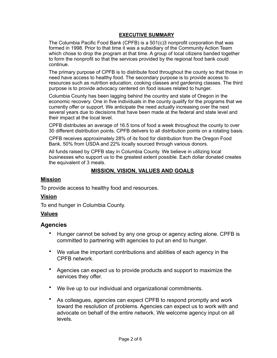#### **EXECUTIVE SUMMARY**

The Columbia Pacific Food Bank (CPFB) is a 501(c)3 nonprofit corporation that was formed in 1998. Prior to that time it was a subsidiary of the Community Action Team which chose to drop the program at that time. A group of local citizens banded together to form the nonprofit so that the services provided by the regional food bank could continue.

The primary purpose of CPFB is to distribute food throughout the county so that those in need have access to healthy food. The secondary purpose is to provide access to resources such as nutrition education, cooking classes and gardening classes. The third purpose is to provide advocacy centered on food issues related to hunger.

Columbia County has been lagging behind the country and state of Oregon in the economic recovery. One in five individuals in the county qualify for the programs that we currently offer or support. We anticipate the need actually increasing over the next several years due to decisions that have been made at the federal and state level and their impact at the local level.

CPFB distributes an average of 16.5 tons of food a week throughout the county to over 30 different distribution points. CPFB delivers to all distribution points on a rotating basis.

CPFB receives approximately 28% of its food for distribution from the Oregon Food Bank, 50% from USDA and 22% locally sourced through various donors.

All funds raised by CPFB stay in Columbia County. We believe in utilizing local businesses who support us to the greatest extent possible. Each dollar donated creates the equivalent of 3 meals.

### **MISSION, VISION, VALUES AND GOALS**

#### **Mission**

To provide access to healthy food and resources.

#### **Vision**

To end hunger in Columbia County.

#### **Values**

#### **Agencies**

- Hunger cannot be solved by any one group or agency acting alone. CPFB is committed to partnering with agencies to put an end to hunger.
- We value the important contributions and abilities of each agency in the CPFB network.
- Agencies can expect us to provide products and support to maximize the services they offer.
- We live up to our individual and organizational commitments.
- As colleagues, agencies can expect CPFB to respond promptly and work toward the resolution of problems. Agencies can expect us to work with and advocate on behalf of the entire network. We welcome agency input on all levels.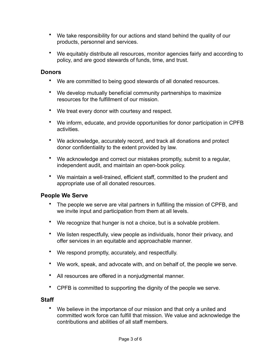- We take responsibility for our actions and stand behind the quality of our products, personnel and services.
- We equitably distribute all resources, monitor agencies fairly and according to policy, and are good stewards of funds, time, and trust.

## **Donors**

- We are committed to being good stewards of all donated resources.
- We develop mutually beneficial community partnerships to maximize resources for the fulfillment of our mission.
- We treat every donor with courtesy and respect.
- We inform, educate, and provide opportunities for donor participation in CPFB activities.
- We acknowledge, accurately record, and track all donations and protect donor confidentiality to the extent provided by law.
- We acknowledge and correct our mistakes promptly, submit to a regular, independent audit, and maintain an open-book policy.
- We maintain a well-trained, efficient staff, committed to the prudent and appropriate use of all donated resources.

# **People We Serve**

- The people we serve are vital partners in fulfilling the mission of CPFB, and we invite input and participation from them at all levels.
- We recognize that hunger is not a choice, but is a solvable problem.
- We listen respectfully, view people as individuals, honor their privacy, and offer services in an equitable and approachable manner.
- We respond promptly, accurately, and respectfully.
- We work, speak, and advocate with, and on behalf of, the people we serve.
- All resources are offered in a nonjudgmental manner.
- CPFB is committed to supporting the dignity of the people we serve.

## **Staff**

• We believe in the importance of our mission and that only a united and committed work force can fulfill that mission. We value and acknowledge the contributions and abilities of all staff members.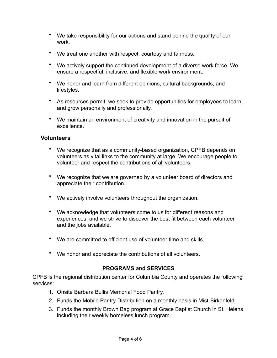- We take responsibility for our actions and stand behind the quality of our work.
- We treat one another with respect, courtesy and fairness.
- We actively support the continued development of a diverse work force. We ensure a respectful, inclusive, and flexible work environment.
- We honor and learn from different opinions, cultural backgrounds, and lifestyles.
- As resources permit, we seek to provide opportunities for employees to learn and grow personally and professionally.
- We maintain an environment of creativity and innovation in the pursuit of excellence.

## **Volunteers**

- We recognize that as a community-based organization, CPFB depends on volunteers as vital links to the community at large. We encourage people to volunteer and respect the contributions of all volunteers.
- We recognize that we are governed by a volunteer board of directors and appreciate their contribution.
- We actively involve volunteers throughout the organization.
- We acknowledge that volunteers come to us for different reasons and experiences, and we strive to discover the best fit between each volunteer and the jobs available.
- We are committed to efficient use of volunteer time and skills.
- We honor and appreciate the contributions of all volunteers.

## **PROGRAMS and SERVICES**

CPFB is the regional distribution center for Columbia County and operates the following services:

- 1. Onsite Barbara Bullis Memorial Food Pantry.
- 2. Funds the Mobile Pantry Distribution on a monthly basis in Mist-Birkenfeld.
- 3. Funds the monthly Brown Bag program at Grace Baptist Church in St. Helens including their weekly homeless lunch program.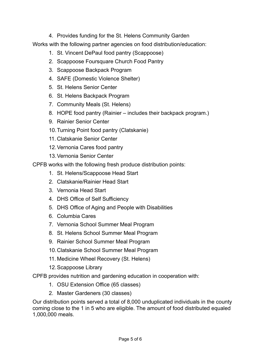4. Provides funding for the St. Helens Community Garden

Works with the following partner agencies on food distribution/education:

- 1. St. Vincent DePaul food pantry (Scappoose)
- 2. Scappoose Foursquare Church Food Pantry
- 3. Scappoose Backpack Program
- 4. SAFE (Domestic Violence Shelter)
- 5. St. Helens Senior Center
- 6. St. Helens Backpack Program
- 7. Community Meals (St. Helens)
- 8. HOPE food pantry (Rainier includes their backpack program.)
- 9. Rainier Senior Center
- 10.Turning Point food pantry (Clatskanie)
- 11. Clatskanie Senior Center
- 12.Vernonia Cares food pantry
- 13.Vernonia Senior Center

CPFB works with the following fresh produce distribution points:

- 1. St. Helens/Scappoose Head Start
- 2. Clatskanie/Rainier Head Start
- 3. Vernonia Head Start
- 4. DHS Office of Self Sufficiency
- 5. DHS Office of Aging and People with Disabilities
- 6. Columbia Cares
- 7. Vernonia School Summer Meal Program
- 8. St. Helens School Summer Meal Program
- 9. Rainier School Summer Meal Program
- 10.Clatskanie School Summer Meal Program
- 11. Medicine Wheel Recovery (St. Helens)
- 12.Scappoose Library

CPFB provides nutrition and gardening education in cooperation with:

- 1. OSU Extension Office (65 classes)
- 2. Master Gardeners (30 classes)

Our distribution points served a total of 8,000 unduplicated individuals in the county coming close to the 1 in 5 who are eligible. The amount of food distributed equaled 1,000,000 meals.